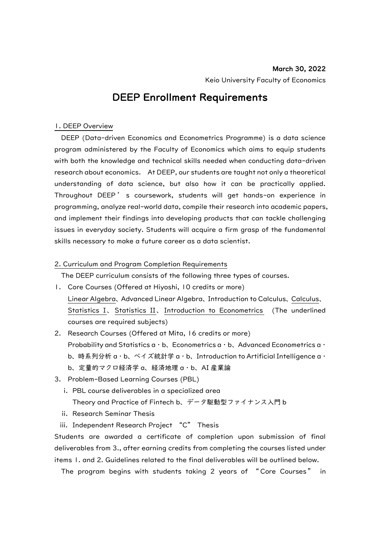## DEEP Enrollment Requirements

#### 1. DEEP Overview

DEEP (Data-driven Economics and Econometrics Programme) is a data science program administered by the Faculty of Economics which aims to equip students with both the knowledge and technical skills needed when conducting data-driven research about economics. At DEEP, our students are taught not only a theoretical understanding of data science, but also how it can be practically applied. Throughout DEEP ' s coursework, students will get hands-on experience in programming, analyze real-world data, compile their research into academic papers, and implement their findings into developing products that can tackle challenging issues in everyday society. Students will acquire a firm grasp of the fundamental skills necessary to make a future career as a data scientist.

#### 2. Curriculum and Program Completion Requirements

The DEEP curriculum consists of the following three types of courses.

- 1. Core Courses (Offered at Hiyoshi, 10 credits or more) Linear Algebra、Advanced Linear Algebra、Introduction to Calculus、Calculus、 Statistics I、Statistics II、Introduction to Econometrics (The underlined courses are required subjects)
- 2. Research Courses (Offered at Mita, 16 credits or more) Probability and Statistics a・b、Econometrics a・b、Advanced Econometrics a・ b、時系列分析 a・b、ベイズ統計学 a・b、Introduction to Artificial Intelligence a・ b、定量的マクロ経済学 a、経済地理 a・b、AI 産業論
- 3. Problem-Based Learning Courses (PBL)
	- i. PBL course deliverables in a specialized area Theory and Practice of Fintech b、データ駆動型ファイナンス入門 b
	- ii. Research Seminar Thesis
	- iii. Independent Research Project "C" Thesis

Students are awarded a certificate of completion upon submission of final deliverables from 3., after earning credits from completing the courses listed under items 1. and 2. Guidelines related to the final deliverables will be outlined below.

The program begins with students taking 2 years of " Core Courses " in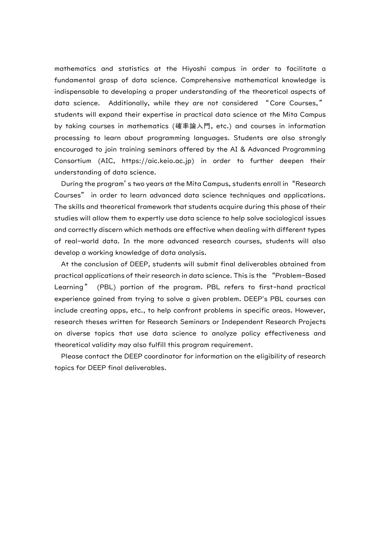mathematics and statistics at the Hiyoshi campus in order to facilitate a fundamental grasp of data science. Comprehensive mathematical knowledge is indispensable to developing a proper understanding of the theoretical aspects of data science. Additionally, while they are not considered "Core Courses," students will expand their expertise in practical data science at the Mita Campus by taking courses in mathematics (確率論入門, etc.) and courses in information processing to learn about programming languages. Students are also strongly encouraged to join training seminars offered by the AI & Advanced Programming Consortium (AIC, https://aic.keio.ac.jp) in order to further deepen their understanding of data science.

During the program's two years at the Mita Campus, students enroll in "Research Courses" in order to learn advanced data science techniques and applications. The skills and theoretical framework that students acquire during this phase of their studies will allow them to expertly use data science to help solve sociological issues and correctly discern which methods are effective when dealing with different types of real-world data. In the more advanced research courses, students will also develop a working knowledge of data analysis.

At the conclusion of DEEP, students will submit final deliverables obtained from practical applications of their research in data science. This is the "Problem-Based Learning" (PBL) portion of the program. PBL refers to first-hand practical experience gained from trying to solve a given problem. DEEP's PBL courses can include creating apps, etc., to help confront problems in specific areas. However, research theses written for Research Seminars or Independent Research Projects on diverse topics that use data science to analyze policy effectiveness and theoretical validity may also fulfill this program requirement.

Please contact the DEEP coordinator for information on the eligibility of research topics for DEEP final deliverables.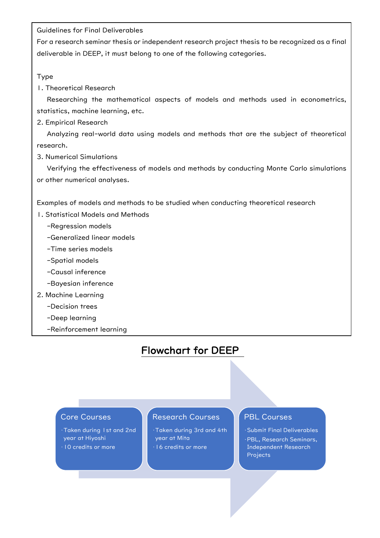Guidelines for Final Deliverables

For a research seminar thesis or independent research project thesis to be recognized as a final deliverable in DEEP, it must belong to one of the following categories.

Type

1. Theoretical Research

 Researching the mathematical aspects of models and methods used in econometrics, statistics, machine learning, etc.

2. Empirical Research

 Analyzing real-world data using models and methods that are the subject of theoretical research.

3. Numerical Simulations

 Verifying the effectiveness of models and methods by conducting Monte Carlo simulations or other numerical analyses.

Examples of models and methods to be studied when conducting theoretical research

- 1. Statistical Models and Methods
	- -Regression models
	- -Generalized linear models
	- -Time series models
	- -Spatial models
	- -Causal inference
	- -Bayesian inference
- 2. Machine Learning
	- -Decision trees
	- -Deep learning
	- -Reinforcement learning

# Flowchart for DEEP

 $\overline{a}$ 

#### Core Courses

•Taken during 1st and 2nd year at Hiyoshi •10 credits or more

## Research Courses

•Taken during 3rd and 4th year at Mita •16 credits or more

## PBL Courses

•Submit Final Deliverables •PBL, Research Seminars, Independent Research **Projects**